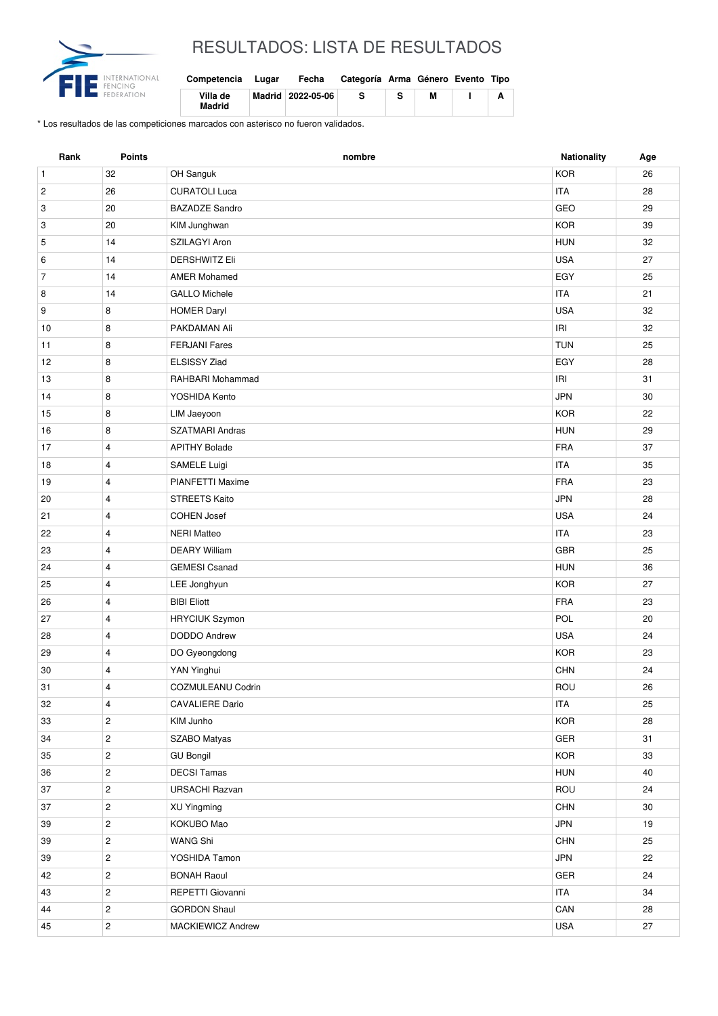

## RESULTADOS: LISTA DE RESULTADOS

| Competencia        | Lugar | Fecha             | Categoría Arma Género Evento Tipo |   |  |
|--------------------|-------|-------------------|-----------------------------------|---|--|
| Villa de<br>Madrid |       | Madrid 2022-05-06 | s                                 | м |  |

\* Los resultados de las competiciones marcados con asterisco no fueron validados.

| Rank           | <b>Points</b>  | nombre                 | Nationality           | Age |
|----------------|----------------|------------------------|-----------------------|-----|
| $\mathbf{1}$   | 32             | OH Sanguk              | <b>KOR</b>            | 26  |
| $\overline{c}$ | 26             | <b>CURATOLI Luca</b>   | <b>ITA</b>            | 28  |
| 3              | 20             | <b>BAZADZE Sandro</b>  | GEO                   | 29  |
| 3              | 20             | KIM Junghwan           | <b>KOR</b>            | 39  |
| 5              | 14             | SZILAGYI Aron          | <b>HUN</b>            | 32  |
| 6              | 14             | <b>DERSHWITZ Eli</b>   | <b>USA</b>            | 27  |
| $\overline{7}$ | 14             | <b>AMER Mohamed</b>    | EGY                   | 25  |
| 8              | 14             | <b>GALLO Michele</b>   | <b>ITA</b>            | 21  |
| 9              | 8              | <b>HOMER Daryl</b>     | <b>USA</b>            | 32  |
| 10             | 8              | PAKDAMAN Ali           | IRI                   | 32  |
| 11             | 8              | <b>FERJANI Fares</b>   | <b>TUN</b>            | 25  |
| 12             | 8              | <b>ELSISSY Ziad</b>    | EGY                   | 28  |
| 13             | 8              | RAHBARI Mohammad       | IRI                   | 31  |
| 14             | 8              | YOSHIDA Kento          | <b>JPN</b>            | 30  |
| 15             | 8              | LIM Jaeyoon            | <b>KOR</b>            | 22  |
| 16             | 8              | <b>SZATMARI Andras</b> | <b>HUN</b>            | 29  |
| 17             | $\overline{4}$ | <b>APITHY Bolade</b>   | <b>FRA</b>            | 37  |
| 18             | $\overline{4}$ | SAMELE Luigi           | <b>ITA</b>            | 35  |
| 19             | $\overline{4}$ | PIANFETTI Maxime       | <b>FRA</b>            | 23  |
| 20             | $\overline{4}$ | <b>STREETS Kaito</b>   | <b>JPN</b>            | 28  |
| 21             | 4              | <b>COHEN Josef</b>     | <b>USA</b>            | 24  |
| 22             | $\overline{4}$ | <b>NERI Matteo</b>     | <b>ITA</b>            | 23  |
| 23             | $\overline{4}$ | <b>DEARY William</b>   | <b>GBR</b>            | 25  |
| 24             | $\overline{4}$ | <b>GEMESI Csanad</b>   | <b>HUN</b>            | 36  |
| 25             | 4              | LEE Jonghyun           | <b>KOR</b>            | 27  |
| 26             | $\overline{4}$ | <b>BIBI Eliott</b>     | <b>FRA</b>            | 23  |
| 27             | 4              | <b>HRYCIUK Szymon</b>  | POL                   | 20  |
| 28             | $\overline{4}$ | <b>DODDO Andrew</b>    | <b>USA</b>            | 24  |
| 29             | 4              | DO Gyeongdong          | <b>KOR</b>            | 23  |
| 30             | $\overline{4}$ | YAN Yinghui            | <b>CHN</b>            | 24  |
| 31             | 4              | COZMULEANU Codrin      | ROU                   | 26  |
| 32             | 4              | <b>CAVALIERE Dario</b> | ITA                   | 25  |
| 33             | $\overline{2}$ | KIM Junho              | KOR                   | 28  |
| 34             | $\mathbf{2}$   | SZABO Matyas           | GER                   | 31  |
| 35             | $\overline{2}$ | <b>GU Bongil</b>       | KOR                   | 33  |
| 36             | $\overline{c}$ | <b>DECSI Tamas</b>     | <b>HUN</b>            | 40  |
| 37             | $\overline{2}$ | <b>URSACHI Razvan</b>  | ROU                   | 24  |
| 37             | $\overline{c}$ | XU Yingming            | $\textsf{CHN}\xspace$ | 30  |
| 39             | $\overline{2}$ | KOKUBO Mao             | <b>JPN</b>            | 19  |
| 39             | $\mathbf{2}$   | <b>WANG Shi</b>        | CHN                   | 25  |
| 39             | $\overline{2}$ | YOSHIDA Tamon          | JPN                   | 22  |
| 42             | $\overline{c}$ | <b>BONAH Raoul</b>     | GER                   | 24  |
| 43             | $\overline{2}$ | REPETTI Giovanni       | ITA                   | 34  |
| 44             | $\overline{c}$ | <b>GORDON Shaul</b>    | CAN                   | 28  |
| 45             | $\overline{2}$ | MACKIEWICZ Andrew      | <b>USA</b>            | 27  |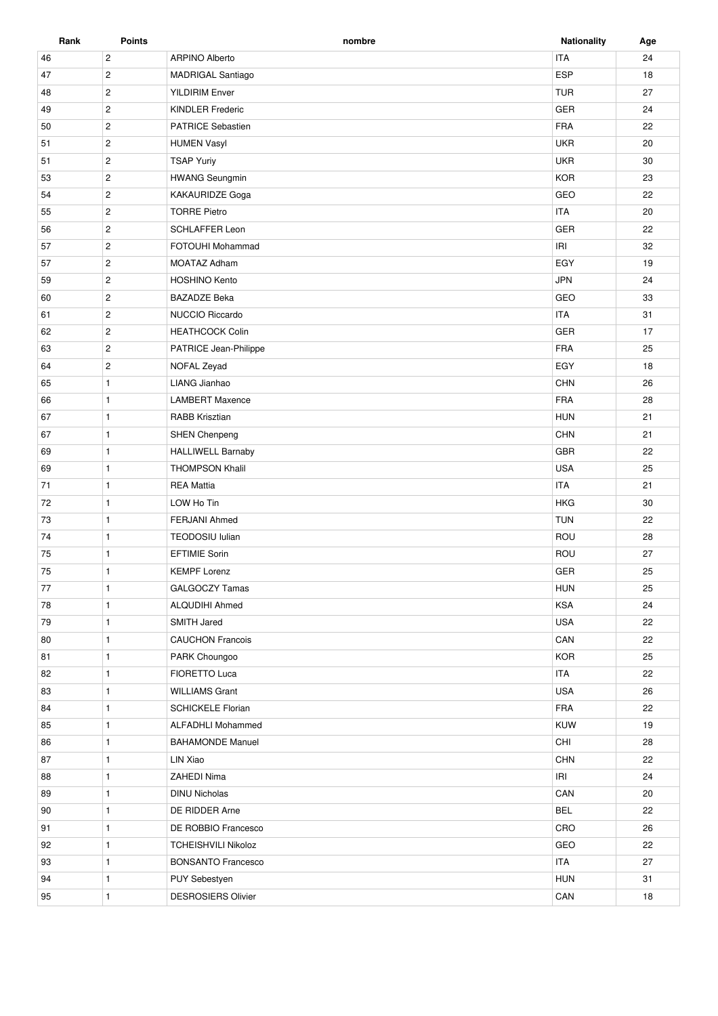| Rank | <b>Points</b>  | nombre                                 | <b>Nationality</b> | Age |
|------|----------------|----------------------------------------|--------------------|-----|
| 46   | $\overline{c}$ | <b>ARPINO Alberto</b>                  | <b>ITA</b>         | 24  |
| 47   | $\overline{2}$ | <b>MADRIGAL Santiago</b>               | ESP                | 18  |
| 48   | $\overline{2}$ | <b>TUR</b><br><b>YILDIRIM Enver</b>    |                    | 27  |
| 49   | $\mathbf{2}$   | <b>GER</b><br><b>KINDLER Frederic</b>  |                    | 24  |
| 50   | $\overline{2}$ | <b>FRA</b><br><b>PATRICE Sebastien</b> |                    | 22  |
| 51   | $\overline{2}$ | <b>HUMEN Vasyl</b>                     | <b>UKR</b>         | 20  |
| 51   | $\overline{2}$ | <b>TSAP Yuriy</b>                      | <b>UKR</b>         | 30  |
| 53   | $\overline{2}$ | <b>HWANG Seungmin</b>                  | <b>KOR</b>         | 23  |
| 54   | $\overline{2}$ | <b>KAKAURIDZE Goga</b>                 | GEO                | 22  |
| 55   | $\overline{2}$ | <b>TORRE Pietro</b>                    | <b>ITA</b>         | 20  |
| 56   | $\mathbf{2}$   | <b>SCHLAFFER Leon</b>                  | GER                | 22  |
| 57   | $\overline{c}$ | FOTOUHI Mohammad                       | IRI                | 32  |
| 57   | $\overline{2}$ | <b>MOATAZ Adham</b>                    | EGY                | 19  |
| 59   | $\overline{2}$ | <b>HOSHINO Kento</b>                   | <b>JPN</b>         | 24  |
| 60   | $\mathbf{2}$   | <b>BAZADZE Beka</b>                    | GEO                | 33  |
| 61   | $\overline{c}$ | <b>NUCCIO Riccardo</b>                 | <b>ITA</b>         | 31  |
| 62   | $\mathbf{2}$   | <b>HEATHCOCK Colin</b>                 | GER                | 17  |
| 63   | $\overline{c}$ | PATRICE Jean-Philippe                  | <b>FRA</b>         | 25  |
| 64   | $\mathbf{2}$   | NOFAL Zeyad                            | EGY                | 18  |
| 65   | $\mathbf{1}$   | LIANG Jianhao                          | <b>CHN</b>         | 26  |
| 66   | $\mathbf{1}$   | <b>LAMBERT Maxence</b>                 | <b>FRA</b>         | 28  |
| 67   | $\mathbf{1}$   | RABB Krisztian                         | <b>HUN</b>         | 21  |
| 67   | $\mathbf{1}$   | <b>SHEN Chenpeng</b>                   | <b>CHN</b>         | 21  |
| 69   | $\mathbf{1}$   | <b>HALLIWELL Barnaby</b>               | GBR                | 22  |
| 69   | $\mathbf{1}$   | <b>THOMPSON Khalil</b>                 | <b>USA</b>         | 25  |
| 71   | $\mathbf{1}$   | <b>REA Mattia</b>                      | <b>ITA</b>         | 21  |
| 72   | $\mathbf{1}$   | LOW Ho Tin                             | <b>HKG</b>         | 30  |
| 73   | $\mathbf{1}$   | FERJANI Ahmed                          | <b>TUN</b>         | 22  |
| 74   | $\mathbf{1}$   | TEODOSIU lulian                        | ROU                | 28  |
| 75   | $\mathbf{1}$   | <b>EFTIMIE Sorin</b>                   | ROU                | 27  |
| 75   | $\mathbf{1}$   | <b>KEMPF Lorenz</b>                    | GER                | 25  |
| 77   | $\mathbf{1}$   | GALGOCZY Tamas                         | <b>HUN</b>         | 25  |
| 78   | $\mathbf{1}$   | ALQUDIHI Ahmed                         | KSA                | 24  |
| 79   | $\mathbf{1}$   | SMITH Jared                            | <b>USA</b>         | 22  |
| 80   | $\mathbf{1}$   | <b>CAUCHON Francois</b>                | ${\sf CAN}$        | 22  |
| 81   | $\mathbf{1}$   | PARK Choungoo                          | <b>KOR</b>         | 25  |
| 82   | $\mathbf{1}$   | FIORETTO Luca                          | <b>ITA</b>         | 22  |
| 83   | $\mathbf{1}$   | <b>WILLIAMS Grant</b>                  | <b>USA</b>         | 26  |
| 84   | $\mathbf{1}$   | <b>SCHICKELE Florian</b>               | FRA                | 22  |
| 85   | $\mathbf{1}$   | <b>ALFADHLI Mohammed</b>               | KUW                | 19  |
| 86   | $\mathbf{1}$   | <b>BAHAMONDE Manuel</b>                | CHI                | 28  |
| 87   | $\mathbf{1}$   | LIN Xiao                               | CHN                | 22  |
| 88   | $\mathbf{1}$   | ZAHEDI Nima                            | IRI                | 24  |
| 89   | $\mathbf{1}$   | <b>DINU Nicholas</b>                   | CAN                | 20  |
| 90   | $\mathbf{1}$   | DE RIDDER Arne                         | <b>BEL</b>         | 22  |
| 91   | $\mathbf{1}$   | DE ROBBIO Francesco                    | CRO                | 26  |
| 92   | $\mathbf{1}$   | <b>TCHEISHVILI Nikoloz</b>             | GEO                | 22  |
| 93   | $\mathbf{1}$   | <b>BONSANTO Francesco</b>              | <b>ITA</b>         | 27  |
| 94   | $\mathbf{1}$   | PUY Sebestyen                          | <b>HUN</b>         | 31  |
| 95   | $\mathbf{1}$   | DESROSIERS Olivier                     | CAN                | 18  |
|      |                |                                        |                    |     |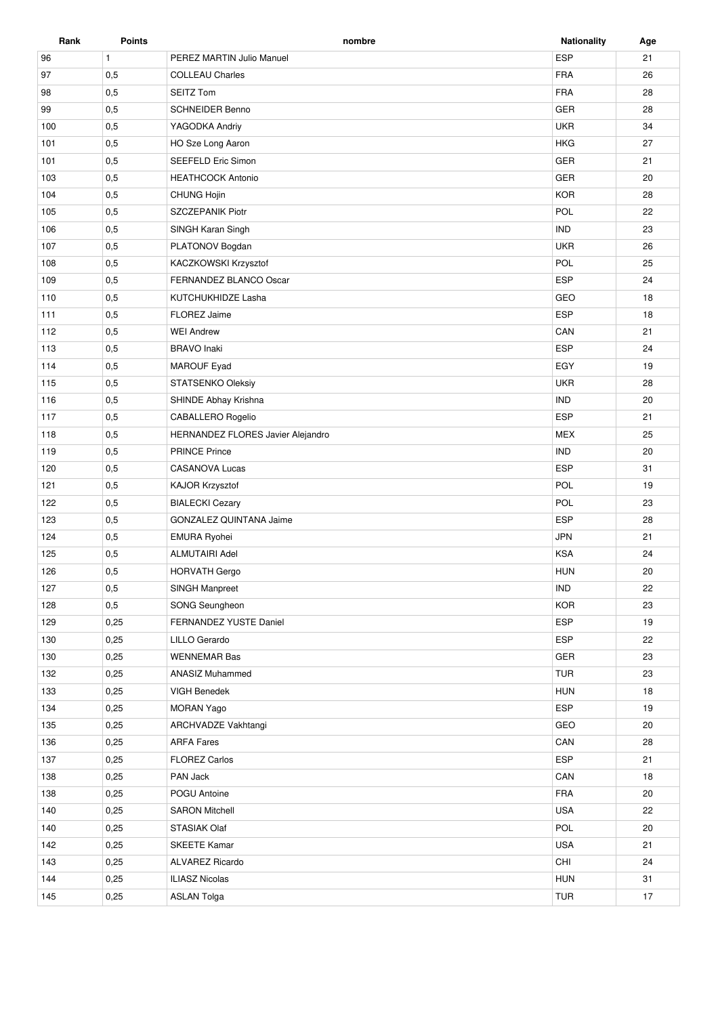| Rank | <b>Points</b> | nombre                               | <b>Nationality</b> | Age |
|------|---------------|--------------------------------------|--------------------|-----|
| 96   | $\mathbf{1}$  | PEREZ MARTIN Julio Manuel            | ESP                | 21  |
| 97   | 0,5           | <b>COLLEAU Charles</b>               | <b>FRA</b>         | 26  |
| 98   | 0,5           | <b>SEITZ Tom</b>                     |                    | 28  |
| 99   | 0,5           | <b>GER</b><br><b>SCHNEIDER Benno</b> |                    | 28  |
| 100  | 0,5           | <b>UKR</b><br>YAGODKA Andriy         |                    | 34  |
| 101  | 0,5           | HO Sze Long Aaron                    | <b>HKG</b>         | 27  |
| 101  | 0,5           | SEEFELD Eric Simon                   | GER                | 21  |
| 103  | 0,5           | <b>HEATHCOCK Antonio</b>             | GER                | 20  |
| 104  | 0,5           | <b>CHUNG Hojin</b>                   | <b>KOR</b>         | 28  |
| 105  | 0,5           | SZCZEPANIK Piotr                     | POL                | 22  |
| 106  | 0,5           | SINGH Karan Singh                    | <b>IND</b>         | 23  |
| 107  | 0,5           | PLATONOV Bogdan                      | <b>UKR</b>         | 26  |
| 108  | 0,5           | KACZKOWSKI Krzysztof                 | POL                | 25  |
| 109  | 0,5           | FERNANDEZ BLANCO Oscar               | <b>ESP</b>         | 24  |
| 110  | 0,5           | KUTCHUKHIDZE Lasha                   | GEO                | 18  |
| 111  | 0,5           | <b>FLOREZ Jaime</b>                  | <b>ESP</b>         | 18  |
| 112  | 0,5           | <b>WEI Andrew</b>                    | CAN                | 21  |
| 113  | 0,5           | <b>BRAVO</b> Inaki                   | <b>ESP</b>         | 24  |
| 114  | 0,5           | MAROUF Eyad                          | EGY                | 19  |
| 115  | 0,5           | STATSENKO Oleksiy                    | <b>UKR</b>         | 28  |
| 116  | 0,5           | SHINDE Abhay Krishna                 | <b>IND</b>         | 20  |
| 117  | 0,5           | CABALLERO Rogelio                    | <b>ESP</b>         | 21  |
| 118  | 0,5           | HERNANDEZ FLORES Javier Alejandro    | <b>MEX</b>         | 25  |
| 119  | 0,5           | <b>PRINCE Prince</b>                 | <b>IND</b>         | 20  |
| 120  | 0,5           | <b>CASANOVA Lucas</b>                | <b>ESP</b>         | 31  |
| 121  | 0,5           | KAJOR Krzysztof                      | POL                | 19  |
| 122  | 0,5           | <b>BIALECKI Cezary</b>               | POL                | 23  |
| 123  | 0,5           | GONZALEZ QUINTANA Jaime              | ESP                | 28  |
| 124  | 0,5           | <b>EMURA Ryohei</b>                  | <b>JPN</b>         | 21  |
| 125  | 0,5           | <b>ALMUTAIRI Adel</b>                | <b>KSA</b>         | 24  |
| 126  | 0,5           | <b>HORVATH Gergo</b>                 | <b>HUN</b>         | 20  |
| 127  | 0,5           | SINGH Manpreet                       | <b>IND</b>         | 22  |
| 128  | 0,5           | SONG Seungheon                       | <b>KOR</b>         | 23  |
| 129  | 0,25          | FERNANDEZ YUSTE Daniel               | ESP                | 19  |
| 130  | 0,25          | LILLO Gerardo                        | <b>ESP</b>         | 22  |
| 130  | 0,25          | <b>WENNEMAR Bas</b>                  | GER                | 23  |
| 132  | 0,25          | <b>ANASIZ Muhammed</b>               | <b>TUR</b>         | 23  |
| 133  | 0,25          | VIGH Benedek                         | <b>HUN</b>         | 18  |
| 134  | 0,25          | <b>MORAN Yago</b>                    | ESP                | 19  |
| 135  | 0,25          | ARCHVADZE Vakhtangi                  | GEO                | 20  |
| 136  | 0,25          | <b>ARFA Fares</b>                    | CAN                | 28  |
| 137  | 0,25          | <b>FLOREZ Carlos</b>                 | ESP                | 21  |
| 138  | 0,25          | PAN Jack                             | CAN                | 18  |
| 138  | 0,25          | POGU Antoine                         | FRA                | 20  |
| 140  | 0,25          | <b>SARON Mitchell</b>                | <b>USA</b>         | 22  |
| 140  | 0,25          | STASIAK Olaf                         | POL                | 20  |
| 142  | 0,25          | <b>SKEETE Kamar</b>                  | <b>USA</b>         | 21  |
| 143  | 0,25          | ALVAREZ Ricardo                      | CHI                | 24  |
| 144  | 0,25          | <b>ILIASZ Nicolas</b>                | <b>HUN</b>         | 31  |
| 145  | 0,25          | <b>ASLAN Tolga</b>                   | <b>TUR</b>         | 17  |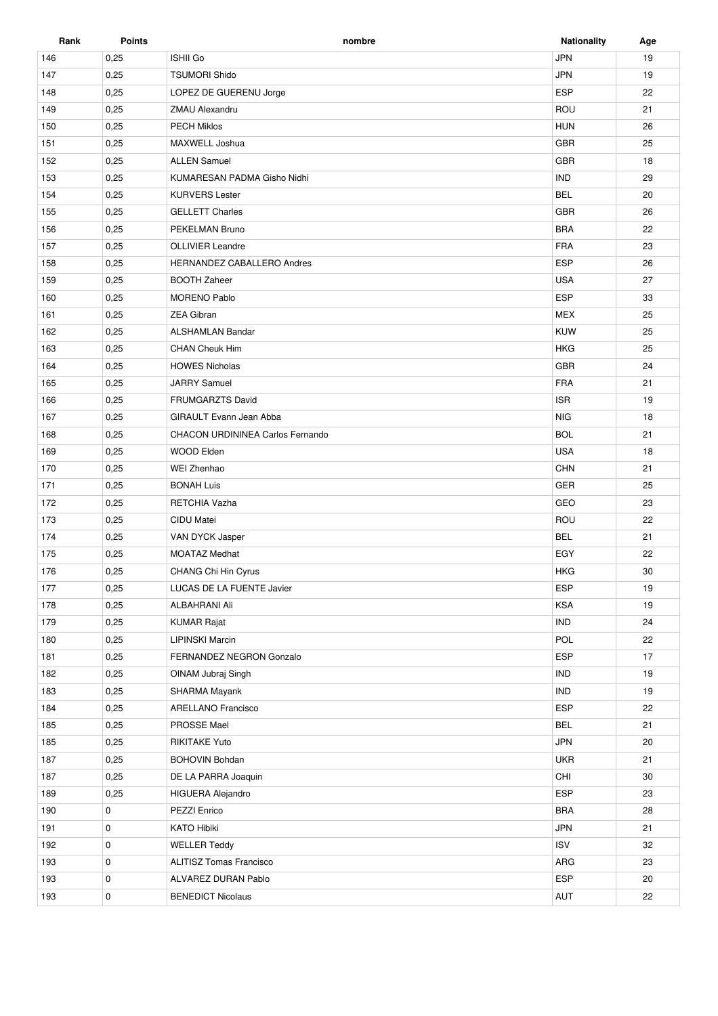| Rank | <b>Points</b> | nombre                               | Nationality | Age |
|------|---------------|--------------------------------------|-------------|-----|
| 146  | 0,25          | <b>ISHII Go</b>                      | <b>JPN</b>  | 19  |
| 147  | 0,25          | <b>TSUMORI Shido</b>                 | <b>JPN</b>  | 19  |
| 148  | 0,25          | <b>ESP</b><br>LOPEZ DE GUERENU Jorge |             | 22  |
| 149  | 0,25          | ROU<br>ZMAU Alexandru                |             | 21  |
| 150  | 0,25          | <b>PECH Miklos</b><br><b>HUN</b>     |             | 26  |
| 151  | 0,25          | MAXWELL Joshua                       | <b>GBR</b>  | 25  |
| 152  | 0,25          | <b>ALLEN Samuel</b>                  | <b>GBR</b>  | 18  |
| 153  | 0,25          | KUMARESAN PADMA Gisho Nidhi          | <b>IND</b>  | 29  |
| 154  | 0,25          | <b>KURVERS Lester</b>                | <b>BEL</b>  | 20  |
| 155  | 0,25          | <b>GELLETT Charles</b>               | <b>GBR</b>  | 26  |
| 156  | 0,25          | PEKELMAN Bruno                       | <b>BRA</b>  | 22  |
| 157  | 0,25          | <b>OLLIVIER Leandre</b>              | <b>FRA</b>  | 23  |
| 158  | 0,25          | HERNANDEZ CABALLERO Andres           | <b>ESP</b>  | 26  |
| 159  | 0,25          | <b>BOOTH Zaheer</b>                  | <b>USA</b>  | 27  |
| 160  | 0,25          | <b>MORENO Pablo</b>                  | <b>ESP</b>  | 33  |
| 161  | 0,25          | <b>ZEA Gibran</b>                    | <b>MEX</b>  | 25  |
| 162  | 0,25          | <b>ALSHAMLAN Bandar</b>              | <b>KUW</b>  | 25  |
| 163  | 0,25          | CHAN Cheuk Him                       | <b>HKG</b>  | 25  |
| 164  | 0,25          | <b>HOWES Nicholas</b>                | <b>GBR</b>  | 24  |
| 165  | 0,25          | <b>JARRY Samuel</b>                  | <b>FRA</b>  | 21  |
| 166  | 0,25          | <b>FRUMGARZTS David</b>              | <b>ISR</b>  | 19  |
| 167  | 0,25          | GIRAULT Evann Jean Abba              | <b>NIG</b>  | 18  |
| 168  | 0,25          | CHACON URDININEA Carlos Fernando     | <b>BOL</b>  | 21  |
| 169  | 0,25          | <b>WOOD Elden</b>                    | <b>USA</b>  | 18  |
| 170  | 0,25          | WEI Zhenhao                          | <b>CHN</b>  | 21  |
| 171  | 0,25          | <b>BONAH Luis</b>                    | GER         | 25  |
| 172  | 0,25          | RETCHIA Vazha                        | GEO         | 23  |
| 173  | 0,25          | CIDU Matei                           | ROU         | 22  |
| 174  | 0,25          | VAN DYCK Jasper                      | <b>BEL</b>  | 21  |
| 175  | 0,25          | <b>MOATAZ Medhat</b>                 | EGY         | 22  |
| 176  | 0,25          | <b>CHANG Chi Hin Cyrus</b>           | <b>HKG</b>  | 30  |
| 177  | 0,25          | LUCAS DE LA FUENTE Javier            | <b>ESP</b>  | 19  |
| 178  | 0,25          | ALBAHRANI Ali                        | <b>KSA</b>  | 19  |
| 179  | 0,25          | <b>KUMAR Rajat</b>                   | <b>IND</b>  | 24  |
| 180  | 0,25          | LIPINSKI Marcin                      | POL         | 22  |
| 181  | 0,25          | FERNANDEZ NEGRON Gonzalo             | <b>ESP</b>  | 17  |
| 182  | 0,25          | OINAM Jubraj Singh                   | <b>IND</b>  | 19  |
| 183  | 0,25          | SHARMA Mayank                        | <b>IND</b>  | 19  |
| 184  | 0,25          | <b>ARELLANO Francisco</b>            | ESP         | 22  |
| 185  | 0,25          | PROSSE Mael                          | <b>BEL</b>  | 21  |
| 185  | 0,25          | <b>RIKITAKE Yuto</b>                 | <b>JPN</b>  | 20  |
| 187  | 0,25          | <b>BOHOVIN Bohdan</b>                | <b>UKR</b>  | 21  |
| 187  | 0,25          | DE LA PARRA Joaquin                  | CHI         | 30  |
| 189  | 0,25          | <b>HIGUERA Alejandro</b>             | <b>ESP</b>  | 23  |
| 190  | 0             | PEZZI Enrico                         | <b>BRA</b>  | 28  |
| 191  | 0             | <b>KATO Hibiki</b>                   | <b>JPN</b>  | 21  |
| 192  | 0             | <b>WELLER Teddy</b>                  | <b>ISV</b>  | 32  |
| 193  | 0             | ALITISZ Tomas Francisco              | ARG         | 23  |
| 193  | 0             | ALVAREZ DURAN Pablo                  | <b>ESP</b>  | 20  |
| 193  | 0             | <b>BENEDICT Nicolaus</b>             | AUT         | 22  |